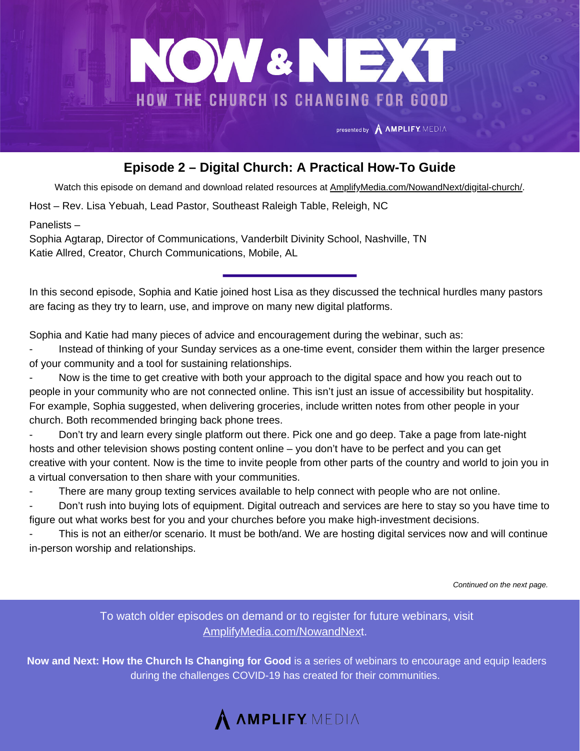

## **Episode 2 – Digital Church: A Practical How-To Guide**

Watch this episode on demand and download related resources at [AmplifyMedia.com/NowandNext/digital-church/.](https://amplifymedia.com/nowandnext/digital-church/)

Host – Rev. Lisa Yebuah, Lead Pastor, Southeast Raleigh Table, Releigh, NC

Panelists –

Sophia Agtarap, Director of Communications, Vanderbilt Divinity School, Nashville, TN Katie Allred, Creator, Church Communications, Mobile, AL

In this second episode, Sophia and Katie joined host Lisa as they discussed the technical hurdles many pastors are facing as they try to learn, use, and improve on many new digital platforms.

Sophia and Katie had many pieces of advice and encouragement during the webinar, such as:

- Instead of thinking of your Sunday services as a one-time event, consider them within the larger presence of your community and a tool for sustaining relationships.

Now is the time to get creative with both your approach to the digital space and how you reach out to people in your community who are not connected online. This isn't just an issue of accessibility but hospitality. For example, Sophia suggested, when delivering groceries, include written notes from other people in your church. Both recommended bringing back phone trees.

- Don't try and learn every single platform out there. Pick one and go deep. Take a page from late-night hosts and other television shows posting content online – you don't have to be perfect and you can get creative with your content. Now is the time to invite people from other parts of the country and world to join you in a virtual conversation to then share with your communities.

There are many group texting services available to help connect with people who are not online.

- Don't rush into buying lots of equipment. Digital outreach and services are here to stay so you have time to figure out what works best for you and your churches before you make high-investment decisions.

This is not an either/or scenario. It must be both/and. We are hosting digital services now and will continue in-person worship and relationships.

*Continued on the next page.*

To watch older episodes on demand or to register for future webinars, visit [AmplifyMedia.com/NowandNex](https://amplifymedia.com/nowandnext/)t.

**Now and Next: How the Church Is Changing for Good** is a series of webinars to encourage and equip leaders during the challenges COVID-19 has created for their communities.